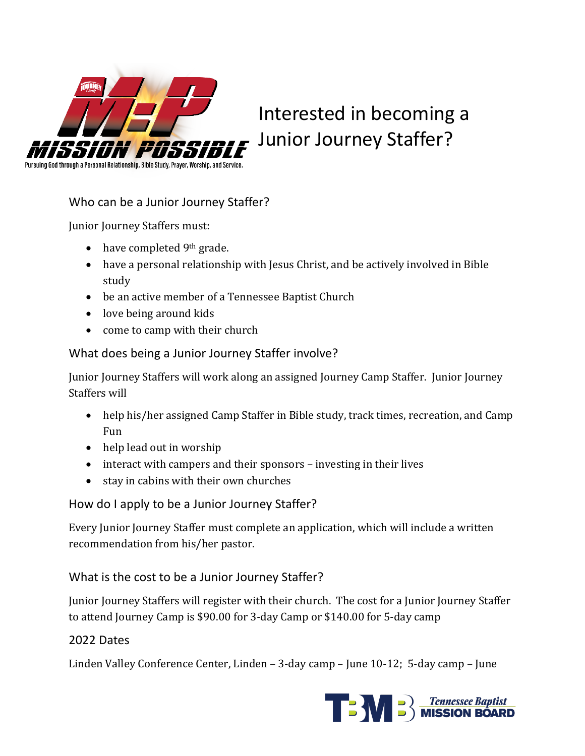

Interested in becoming a Junior Journey Staffer?

Pursuing God through a Personal Relationship, Bible Study, Prayer, Worship, and Service.

Who can be a Junior Journey Staffer?

Junior Journey Staffers must:

- $\bullet$  have completed 9<sup>th</sup> grade.
- have a personal relationship with Jesus Christ, and be actively involved in Bible study
- be an active member of a Tennessee Baptist Church
- $\bullet$  love being around kids
- come to camp with their church

## What does being a Junior Journey Staffer involve?

Junior Journey Staffers will work along an assigned Journey Camp Staffer. Junior Journey Staffers will

- help his/her assigned Camp Staffer in Bible study, track times, recreation, and Camp Fun
- $\bullet$  help lead out in worship
- interact with campers and their sponsors investing in their lives
- stay in cabins with their own churches

How do I apply to be a Junior Journey Staffer?

Every Junior Journey Staffer must complete an application, which will include a written recommendation from his/her pastor.

## What is the cost to be a Junior Journey Staffer?

Junior Journey Staffers will register with their church. The cost for a Junior Journey Staffer to attend Journey Camp is \$90.00 for 3-day Camp or \$140.00 for 5-day camp

## 2022 Dates

Linden Valley Conference Center, Linden  $-$  3-day camp  $-$  June 10-12; 5-day camp  $-$  June